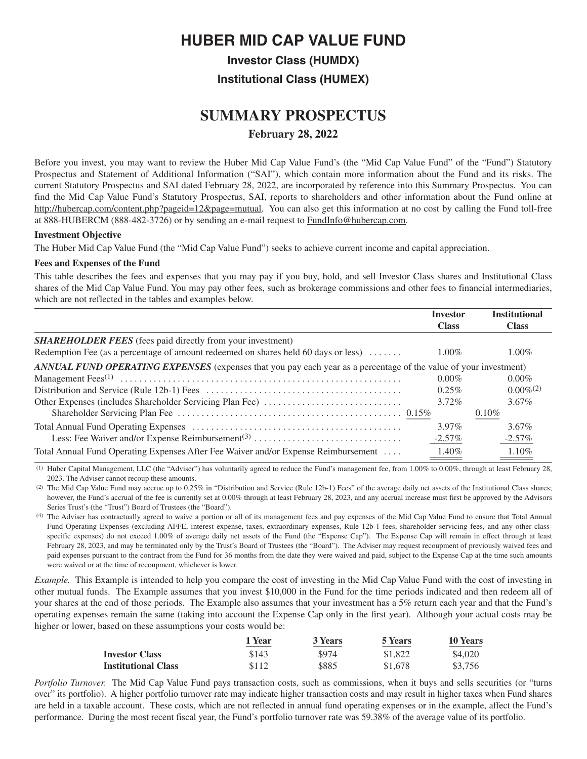# **HUBER MID CAP VALUE FUND**

**Investor Class (HUMDX)**

**Institutional Class (HUMEX)**

# **SUMMARY PROSPECTUS February 28, 2022**

Before you invest, you may want to review the Huber Mid Cap Value Fund's (the "Mid Cap Value Fund" of the "Fund") Statutory Prospectus and Statement of Additional Information ("SAI"), which contain more information about the Fund and its risks. The current Statutory Prospectus and SAI dated February 28, 2022, are incorporated by reference into this Summary Prospectus. You can find the Mid Cap Value Fund's Statutory Prospectus, SAI, reports to shareholders and other information about the Fund online at [http://hubercap.com/content.php?pageid=12&page=mutual.](http://hubercap.com/content.php?pageid=12&page=mutual) You can also get this information at no cost by calling the Fund toll-free at 888-HUBERCM (888-482-3726) or by sending an e-mail request to [FundInfo@hubercap.com.](FundInfo@hubercap.com)

## **Investment Objective**

The Huber Mid Cap Value Fund (the "Mid Cap Value Fund") seeks to achieve current income and capital appreciation.

## **Fees and Expenses of the Fund**

This table describes the fees and expenses that you may pay if you buy, hold, and sell Investor Class shares and Institutional Class shares of the Mid Cap Value Fund. You may pay other fees, such as brokerage commissions and other fees to financial intermediaries, which are not reflected in the tables and examples below.

|                                                                                                                         | <b>Investor</b> | <b>Institutional</b> |
|-------------------------------------------------------------------------------------------------------------------------|-----------------|----------------------|
|                                                                                                                         | <b>Class</b>    | <b>Class</b>         |
| <b>SHAREHOLDER FEES</b> (fees paid directly from your investment)                                                       |                 |                      |
| Redemption Fee (as a percentage of amount redeemed on shares held 60 days or less)                                      | $1.00\%$        | $1.00\%$             |
| <b>ANNUAL FUND OPERATING EXPENSES</b> (expenses that you pay each year as a percentage of the value of your investment) |                 |                      |
|                                                                                                                         | $0.00\%$        | $0.00\%$             |
|                                                                                                                         | $0.25\%$        | $0.00\%^{(2)}$       |
|                                                                                                                         | $3.72\%$        | $3.67\%$             |
|                                                                                                                         |                 | $0.10\%$             |
|                                                                                                                         | $3.97\%$        | $3.67\%$             |
|                                                                                                                         | $-2.57\%$       | $-2.57\%$            |
| Total Annual Fund Operating Expenses After Fee Waiver and/or Expense Reimbursement                                      | 1.40%           | 1.10%                |

(1) Huber Capital Management, LLC (the "Adviser") has voluntarily agreed to reduce the Fund's management fee, from 1.00% to 0.00%, through at least February 28, 2023. The Adviser cannot recoup these amounts.

(2) The Mid Cap Value Fund may accrue up to 0.25% in "Distribution and Service (Rule 12b-1) Fees" of the average daily net assets of the Institutional Class shares; however, the Fund's accrual of the fee is currently set at 0.00% through at least February 28, 2023, and any accrual increase must first be approved by the Advisors Series Trust's (the "Trust") Board of Trustees (the "Board").

(4) The Adviser has contractually agreed to waive a portion or all of its management fees and pay expenses of the Mid Cap Value Fund to ensure that Total Annual Fund Operating Expenses (excluding AFFE, interest expense, taxes, extraordinary expenses, Rule 12b-1 fees, shareholder servicing fees, and any other classspecific expenses) do not exceed 1.00% of average daily net assets of the Fund (the "Expense Cap"). The Expense Cap will remain in effect through at least February 28, 2023, and may be terminated only by the Trust's Board of Trustees (the "Board"). The Adviser may request recoupment of previously waived fees and paid expenses pursuant to the contract from the Fund for 36 months from the date they were waived and paid, subject to the Expense Cap at the time such amounts were waived or at the time of recoupment, whichever is lower.

*Example.* This Example is intended to help you compare the cost of investing in the Mid Cap Value Fund with the cost of investing in other mutual funds. The Example assumes that you invest \$10,000 in the Fund for the time periods indicated and then redeem all of your shares at the end of those periods. The Example also assumes that your investment has a 5% return each year and that the Fund's operating expenses remain the same (taking into account the Expense Cap only in the first year). Although your actual costs may be higher or lower, based on these assumptions your costs would be:

|                            | 1 Year | <b>3 Years</b> | 5 Years | <b>10 Years</b> |
|----------------------------|--------|----------------|---------|-----------------|
| <b>Investor Class</b>      | \$143  | \$974          | \$1,822 | \$4,020         |
| <b>Institutional Class</b> | \$112  | \$885          | \$1,678 | \$3,756         |

*Portfolio Turnover.* The Mid Cap Value Fund pays transaction costs, such as commissions, when it buys and sells securities (or "turns over" its portfolio). A higher portfolio turnover rate may indicate higher transaction costs and may result in higher taxes when Fund shares are held in a taxable account. These costs, which are not reflected in annual fund operating expenses or in the example, affect the Fund's performance. During the most recent fiscal year, the Fund's portfolio turnover rate was 59.38% of the average value of its portfolio.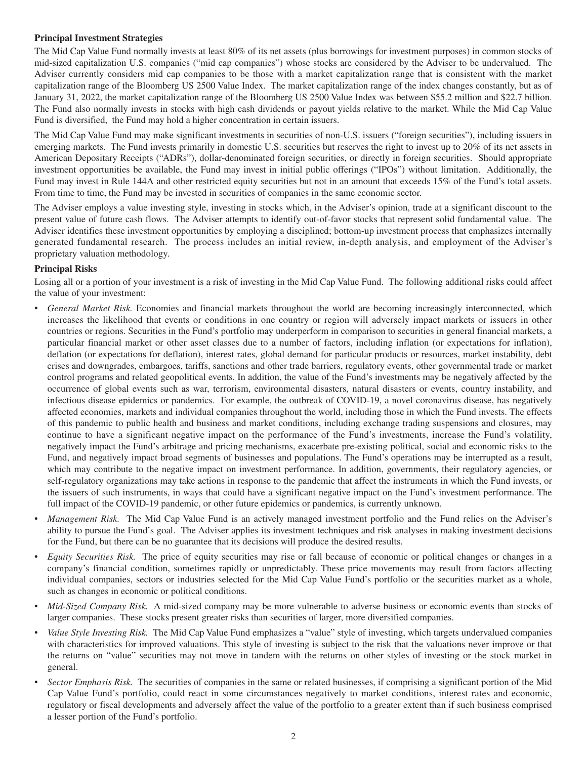# **Principal Investment Strategies**

The Mid Cap Value Fund normally invests at least 80% of its net assets (plus borrowings for investment purposes) in common stocks of mid-sized capitalization U.S. companies ("mid cap companies") whose stocks are considered by the Adviser to be undervalued. The Adviser currently considers mid cap companies to be those with a market capitalization range that is consistent with the market capitalization range of the Bloomberg US 2500 Value Index. The market capitalization range of the index changes constantly, but as of January 31, 2022, the market capitalization range of the Bloomberg US 2500 Value Index was between \$55.2 million and \$22.7 billion. The Fund also normally invests in stocks with high cash dividends or payout yields relative to the market. While the Mid Cap Value Fund is diversified, the Fund may hold a higher concentration in certain issuers.

The Mid Cap Value Fund may make significant investments in securities of non-U.S. issuers ("foreign securities"), including issuers in emerging markets. The Fund invests primarily in domestic U.S. securities but reserves the right to invest up to 20% of its net assets in American Depositary Receipts ("ADRs"), dollar-denominated foreign securities, or directly in foreign securities. Should appropriate investment opportunities be available, the Fund may invest in initial public offerings ("IPOs") without limitation. Additionally, the Fund may invest in Rule 144A and other restricted equity securities but not in an amount that exceeds 15% of the Fund's total assets. From time to time, the Fund may be invested in securities of companies in the same economic sector.

The Adviser employs a value investing style, investing in stocks which, in the Adviser's opinion, trade at a significant discount to the present value of future cash flows. The Adviser attempts to identify out-of-favor stocks that represent solid fundamental value. The Adviser identifies these investment opportunities by employing a disciplined; bottom-up investment process that emphasizes internally generated fundamental research. The process includes an initial review, in-depth analysis, and employment of the Adviser's proprietary valuation methodology.

# **Principal Risks**

Losing all or a portion of your investment is a risk of investing in the Mid Cap Value Fund. The following additional risks could affect the value of your investment:

- *General Market Risk.* Economies and financial markets throughout the world are becoming increasingly interconnected, which increases the likelihood that events or conditions in one country or region will adversely impact markets or issuers in other countries or regions. Securities in the Fund's portfolio may underperform in comparison to securities in general financial markets, a particular financial market or other asset classes due to a number of factors, including inflation (or expectations for inflation), deflation (or expectations for deflation), interest rates, global demand for particular products or resources, market instability, debt crises and downgrades, embargoes, tariffs, sanctions and other trade barriers, regulatory events, other governmental trade or market control programs and related geopolitical events. In addition, the value of the Fund's investments may be negatively affected by the occurrence of global events such as war, terrorism, environmental disasters, natural disasters or events, country instability, and infectious disease epidemics or pandemics. For example, the outbreak of COVID-19, a novel coronavirus disease, has negatively affected economies, markets and individual companies throughout the world, including those in which the Fund invests. The effects of this pandemic to public health and business and market conditions, including exchange trading suspensions and closures, may continue to have a significant negative impact on the performance of the Fund's investments, increase the Fund's volatility, negatively impact the Fund's arbitrage and pricing mechanisms, exacerbate pre-existing political, social and economic risks to the Fund, and negatively impact broad segments of businesses and populations. The Fund's operations may be interrupted as a result, which may contribute to the negative impact on investment performance. In addition, governments, their regulatory agencies, or self-regulatory organizations may take actions in response to the pandemic that affect the instruments in which the Fund invests, or the issuers of such instruments, in ways that could have a significant negative impact on the Fund's investment performance. The full impact of the COVID-19 pandemic, or other future epidemics or pandemics, is currently unknown.
- *Management Risk.* The Mid Cap Value Fund is an actively managed investment portfolio and the Fund relies on the Adviser's ability to pursue the Fund's goal. The Adviser applies its investment techniques and risk analyses in making investment decisions for the Fund, but there can be no guarantee that its decisions will produce the desired results.
- *Equity Securities Risk.* The price of equity securities may rise or fall because of economic or political changes or changes in a company's financial condition, sometimes rapidly or unpredictably. These price movements may result from factors affecting individual companies, sectors or industries selected for the Mid Cap Value Fund's portfolio or the securities market as a whole, such as changes in economic or political conditions.
- *Mid-Sized Company Risk.* A mid-sized company may be more vulnerable to adverse business or economic events than stocks of larger companies. These stocks present greater risks than securities of larger, more diversified companies.
- *Value Style Investing Risk.* The Mid Cap Value Fund emphasizes a "value" style of investing, which targets undervalued companies with characteristics for improved valuations. This style of investing is subject to the risk that the valuations never improve or that the returns on "value" securities may not move in tandem with the returns on other styles of investing or the stock market in general.
- *Sector Emphasis Risk.* The securities of companies in the same or related businesses, if comprising a significant portion of the Mid Cap Value Fund's portfolio, could react in some circumstances negatively to market conditions, interest rates and economic, regulatory or fiscal developments and adversely affect the value of the portfolio to a greater extent than if such business comprised a lesser portion of the Fund's portfolio.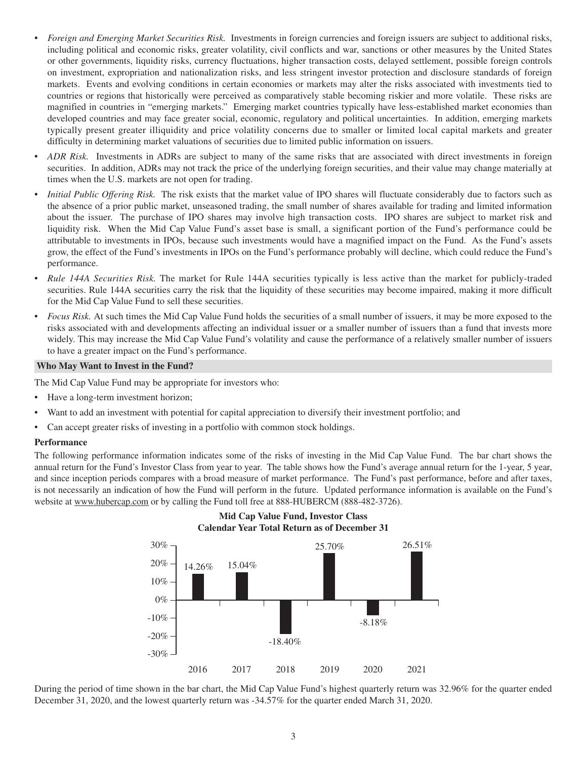- *Foreign and Emerging Market Securities Risk.* Investments in foreign currencies and foreign issuers are subject to additional risks, including political and economic risks, greater volatility, civil conflicts and war, sanctions or other measures by the United States or other governments, liquidity risks, currency fluctuations, higher transaction costs, delayed settlement, possible foreign controls on investment, expropriation and nationalization risks, and less stringent investor protection and disclosure standards of foreign markets. Events and evolving conditions in certain economies or markets may alter the risks associated with investments tied to countries or regions that historically were perceived as comparatively stable becoming riskier and more volatile. These risks are magnified in countries in "emerging markets." Emerging market countries typically have less-established market economies than developed countries and may face greater social, economic, regulatory and political uncertainties. In addition, emerging markets typically present greater illiquidity and price volatility concerns due to smaller or limited local capital markets and greater difficulty in determining market valuations of securities due to limited public information on issuers.
- *ADR Risk.* Investments in ADRs are subject to many of the same risks that are associated with direct investments in foreign securities. In addition, ADRs may not track the price of the underlying foreign securities, and their value may change materially at times when the U.S. markets are not open for trading.
- *Initial Public Offering Risk.* The risk exists that the market value of IPO shares will fluctuate considerably due to factors such as the absence of a prior public market, unseasoned trading, the small number of shares available for trading and limited information about the issuer. The purchase of IPO shares may involve high transaction costs. IPO shares are subject to market risk and liquidity risk. When the Mid Cap Value Fund's asset base is small, a significant portion of the Fund's performance could be attributable to investments in IPOs, because such investments would have a magnified impact on the Fund. As the Fund's assets grow, the effect of the Fund's investments in IPOs on the Fund's performance probably will decline, which could reduce the Fund's performance.
- *Rule 144A Securities Risk.* The market for Rule 144A securities typically is less active than the market for publicly-traded securities. Rule 144A securities carry the risk that the liquidity of these securities may become impaired, making it more difficult for the Mid Cap Value Fund to sell these securities.
- *Focus Risk.* At such times the Mid Cap Value Fund holds the securities of a small number of issuers, it may be more exposed to the risks associated with and developments affecting an individual issuer or a smaller number of issuers than a fund that invests more widely. This may increase the Mid Cap Value Fund's volatility and cause the performance of a relatively smaller number of issuers to have a greater impact on the Fund's performance.

## **Who May Want to Invest in the Fund?**

The Mid Cap Value Fund may be appropriate for investors who:

- Have a long-term investment horizon;
- Want to add an investment with potential for capital appreciation to diversify their investment portfolio; and
- Can accept greater risks of investing in a portfolio with common stock holdings.

#### **Performance**

The following performance information indicates some of the risks of investing in the Mid Cap Value Fund. The bar chart shows the annual return for the Fund's Investor Class from year to year. The table shows how the Fund's average annual return for the 1-year, 5 year, and since inception periods compares with a broad measure of market performance. The Fund's past performance, before and after taxes, is not necessarily an indication of how the Fund will perform in the future. Updated performance information is available on the Fund's website at <www.hubercap.com> or by calling the Fund toll free at 888-HUBERCM (888-482-3726).

**Mid Cap Value Fund, Investor Class**



During the period of time shown in the bar chart, the Mid Cap Value Fund's highest quarterly return was 32.96% for the quarter ended December 31, 2020, and the lowest quarterly return was -34.57% for the quarter ended March 31, 2020.